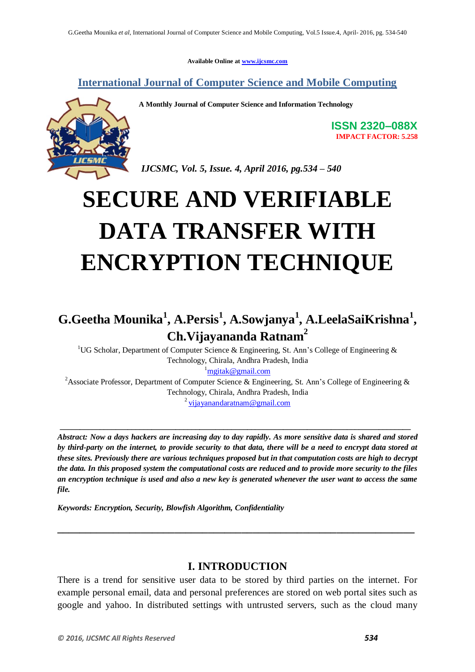**Available Online at [www.ijcsmc.com](http://www.ijcsmc.com/)**

**International Journal of Computer Science and Mobile Computing**



**A Monthly Journal of Computer Science and Information Technology**

**ISSN 2320–088X IMPACT FACTOR: 5.258**

*IJCSMC, Vol. 5, Issue. 4, April 2016, pg.534 – 540*

# **SECURE AND VERIFIABLE DATA TRANSFER WITH ENCRYPTION TECHNIQUE**

## **G.Geetha Mounika<sup>1</sup> , A.Persis<sup>1</sup> , A.Sowjanya<sup>1</sup> , A.LeelaSaiKrishna<sup>1</sup> , Ch.Vijayananda Ratnam<sup>2</sup>**

<sup>1</sup>UG Scholar, Department of Computer Science & Engineering, St. Ann's College of Engineering & Technology, Chirala, Andhra Pradesh, India  $\frac{1}{2}$ [mgitak@gmail.com](mailto:mgitak@gmail.com) <sup>2</sup>Associate Professor, Department of Computer Science & Engineering, St. Ann's College of Engineering & Technology, Chirala, Andhra Pradesh, India

<sup>2</sup> [vijayanandaratnam@gmail.com](mailto:vijayanandaratnam@gmail.com)

**\_\_\_\_\_\_\_\_\_\_\_\_\_\_\_\_\_\_\_\_\_\_\_\_\_\_\_\_\_\_\_\_\_\_\_\_\_\_\_\_\_\_\_\_\_\_\_\_\_\_\_\_\_\_\_\_\_\_\_\_\_\_\_\_\_\_\_\_\_\_\_\_\_\_\_\_\_\_\_\_\_\_\_\_\_\_\_\_**

*Abstract: Now a days hackers are increasing day to day rapidly. As more sensitive data is shared and stored by third-party on the internet, to provide security to that data, there will be a need to encrypt data stored at these sites. Previously there are various techniques proposed but in that computation costs are high to decrypt the data. In this proposed system the computational costs are reduced and to provide more security to the files an encryption technique is used and also a new key is generated whenever the user want to access the same file.*

*Keywords: Encryption, Security, Blowfish Algorithm, Confidentiality*

## **I. INTRODUCTION**

**\_\_\_\_\_\_\_\_\_\_\_\_\_\_\_\_\_\_\_\_\_\_\_\_\_\_\_\_\_\_\_\_\_\_\_\_\_\_\_\_\_\_\_\_\_\_\_\_\_\_\_\_\_\_\_\_\_\_\_\_\_\_\_\_**

There is a trend for sensitive user data to be stored by third parties on the internet. For example personal email, data and personal preferences are stored on web portal sites such as google and yahoo. In distributed settings with untrusted servers, such as the cloud many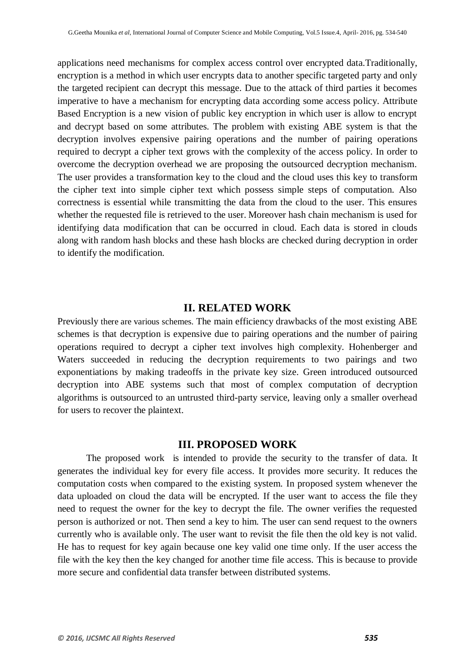applications need mechanisms for complex access control over encrypted data.Traditionally, encryption is a method in which user encrypts data to another specific targeted party and only the targeted recipient can decrypt this message. Due to the attack of third parties it becomes imperative to have a mechanism for encrypting data according some access policy. Attribute Based Encryption is a new vision of public key encryption in which user is allow to encrypt and decrypt based on some attributes. The problem with existing ABE system is that the decryption involves expensive pairing operations and the number of pairing operations required to decrypt a cipher text grows with the complexity of the access policy. In order to overcome the decryption overhead we are proposing the outsourced decryption mechanism. The user provides a transformation key to the cloud and the cloud uses this key to transform the cipher text into simple cipher text which possess simple steps of computation. Also correctness is essential while transmitting the data from the cloud to the user. This ensures whether the requested file is retrieved to the user. Moreover hash chain mechanism is used for identifying data modification that can be occurred in cloud. Each data is stored in clouds along with random hash blocks and these hash blocks are checked during decryption in order to identify the modification.

#### **II. RELATED WORK**

Previously there are various schemes. The main efficiency drawbacks of the most existing ABE schemes is that decryption is expensive due to pairing operations and the number of pairing operations required to decrypt a cipher text involves high complexity. Hohenberger and Waters succeeded in reducing the decryption requirements to two pairings and two exponentiations by making tradeoffs in the private key size. Green introduced outsourced decryption into ABE systems such that most of complex computation of decryption algorithms is outsourced to an untrusted third-party service, leaving only a smaller overhead for users to recover the plaintext.

#### **III. PROPOSED WORK**

The proposed work is intended to provide the security to the transfer of data. It generates the individual key for every file access. It provides more security. It reduces the computation costs when compared to the existing system. In proposed system whenever the data uploaded on cloud the data will be encrypted. If the user want to access the file they need to request the owner for the key to decrypt the file. The owner verifies the requested person is authorized or not. Then send a key to him. The user can send request to the owners currently who is available only. The user want to revisit the file then the old key is not valid. He has to request for key again because one key valid one time only. If the user access the file with the key then the key changed for another time file access. This is because to provide more secure and confidential data transfer between distributed systems.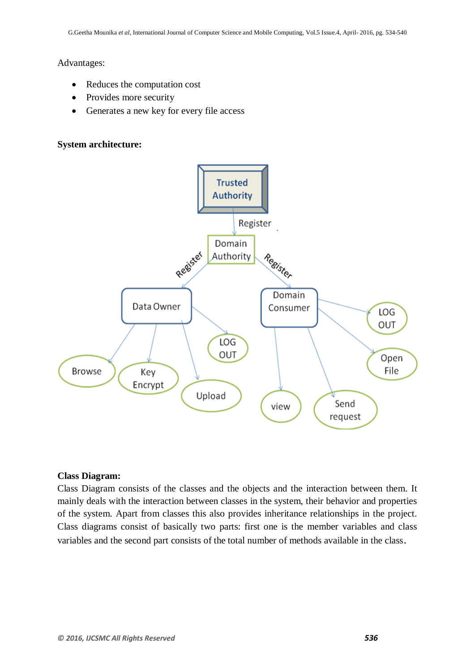### Advantages:

- Reduces the computation cost
- Provides more security
- Generates a new key for every file access

## **System architecture:**



### **Class Diagram:**

Class Diagram consists of the classes and the objects and the interaction between them. It mainly deals with the interaction between classes in the system, their behavior and properties of the system. Apart from classes this also provides inheritance relationships in the project. Class diagrams consist of basically two parts: first one is the member variables and class variables and the second part consists of the total number of methods available in the class.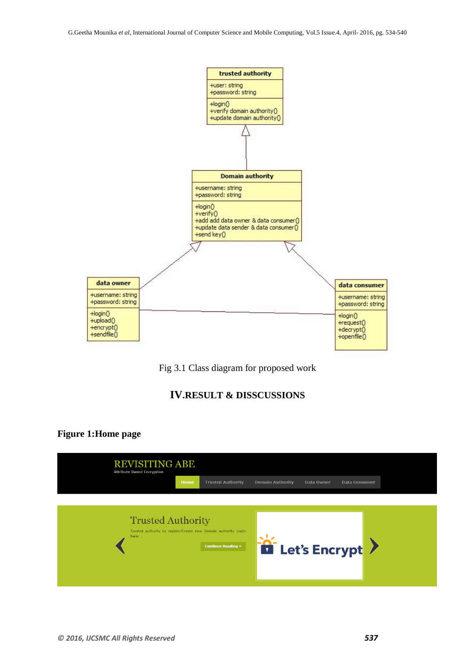

Fig 3.1 Class diagram for proposed work

## **IV.RESULT & DISSCUSSIONS**

## **Figure 1:Home page**

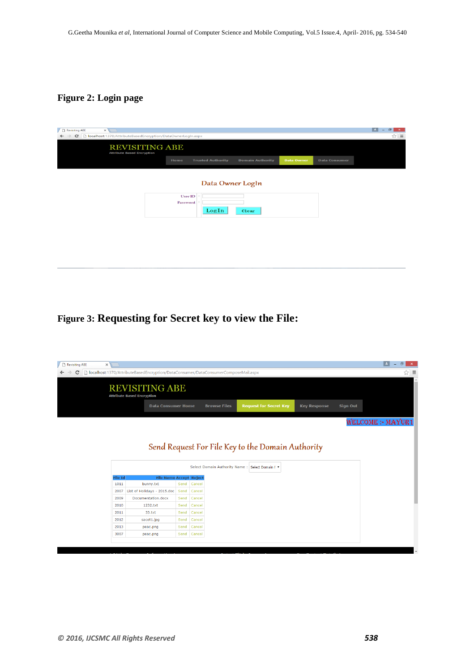## **Figure 2: Login page**

| bcalhost:1370/AttributeBasedEncryption/DataOwnerLogIn.aspx<br>$\mathbf{C}$<br><b>REVISITING ABE</b><br><b>Attribute Based Encryption</b> |                            |                          |                         |                   |                      | ☆  ≡ |
|------------------------------------------------------------------------------------------------------------------------------------------|----------------------------|--------------------------|-------------------------|-------------------|----------------------|------|
|                                                                                                                                          | Home                       | <b>Trusted Authority</b> | <b>Domain Authority</b> | <b>Data Owner</b> | <b>Data Consumer</b> |      |
|                                                                                                                                          |                            | Data Owner Logln         |                         |                   |                      |      |
|                                                                                                                                          | <b>User ID</b><br>Password | LogIn                    | Clear                   |                   |                      |      |
|                                                                                                                                          |                            |                          |                         |                   |                      |      |
|                                                                                                                                          |                            |                          |                         |                   |                      |      |

## **Figure 3: Requesting for Secret key to view the File:**

| $\times$       |                                                                                   |      |        |                     |                                                   |                     |                 | ∣∸<br>o<br>$\overline{\phantom{0}}$ |
|----------------|-----------------------------------------------------------------------------------|------|--------|---------------------|---------------------------------------------------|---------------------|-----------------|-------------------------------------|
|                | localhost:1370/AttributeBasedEncryption/DataConsumer/DataConsumerComposeMail.aspx |      |        |                     |                                                   |                     |                 | ☆                                   |
|                | <b>REVISITING ABE</b><br><b>Attribute Based Encryption</b>                        |      |        |                     |                                                   |                     |                 |                                     |
|                | <b>Data Consumer Home</b>                                                         |      |        | <b>Browse Files</b> | <b>Request for Secret Key</b>                     | <b>Key Response</b> | <b>Sign Out</b> |                                     |
|                |                                                                                   |      |        |                     |                                                   |                     |                 | WELCOME: MAYUR1                     |
|                |                                                                                   |      |        |                     |                                                   |                     |                 |                                     |
|                |                                                                                   |      |        |                     |                                                   |                     |                 |                                     |
|                |                                                                                   |      |        |                     | Send Request For File Key to the Domain Authority |                     |                 |                                     |
|                |                                                                                   |      |        |                     | Select Domain Authority Name: Select Domain I     |                     |                 |                                     |
| <b>File Id</b> | <b>File Name Accept Reject</b>                                                    |      |        |                     |                                                   |                     |                 |                                     |
| 1011           | bunny.txt                                                                         | Send | Cancel |                     |                                                   |                     |                 |                                     |
| 2007           | List of Holidays - 2015.doc                                                       | Send | Cancel |                     |                                                   |                     |                 |                                     |
| 2009           | Documentation.docx                                                                | Send | Cancel |                     |                                                   |                     |                 |                                     |
| 2010           | 1232.txt                                                                          | Send | Cancel |                     |                                                   |                     |                 |                                     |
| 2011           | $33.$ txt                                                                         | Send | Cancel |                     |                                                   |                     |                 |                                     |
| 2012           | sacet1.jpg                                                                        | Send | Cancel |                     |                                                   |                     |                 |                                     |
| 2013           | peac.png                                                                          | Send | Cancel |                     |                                                   |                     |                 |                                     |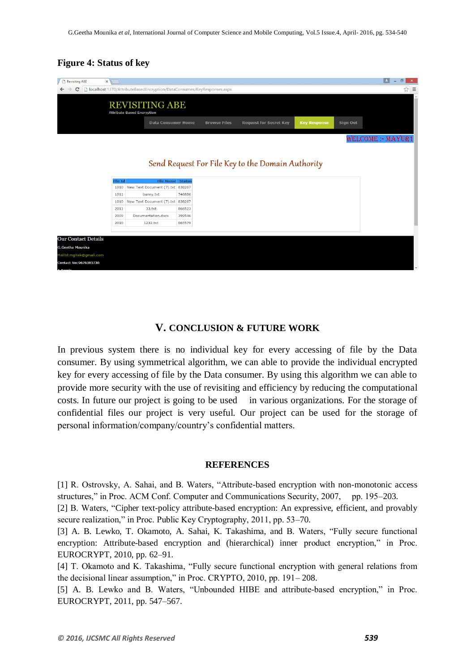## **Figure 4: Status of key**

| Revisiting ABE<br>$\times$ |                |                                                                        |        |                     |                                                   |                     |                 | E.<br>$\Box$<br>$\times$ |
|----------------------------|----------------|------------------------------------------------------------------------|--------|---------------------|---------------------------------------------------|---------------------|-----------------|--------------------------|
| c                          |                | localhost:1370/AttributeBasedEncryption/DataConsumer/KeyResponses.aspx |        |                     |                                                   |                     |                 | ☆<br>$\equiv$            |
|                            |                | <b>REVISITING ABE</b><br><b>Attribute Based Encryption</b>             |        |                     |                                                   |                     |                 |                          |
|                            |                | <b>Data Consumer Home</b>                                              |        | <b>Browse Files</b> | <b>Request for Secret Key</b>                     | <b>Key Response</b> | <b>Sign Out</b> |                          |
|                            |                |                                                                        |        |                     |                                                   |                     |                 | WELCOME: MAYUR1          |
|                            |                |                                                                        |        |                     |                                                   |                     |                 |                          |
|                            |                |                                                                        |        |                     | Send Request For File Key to the Domain Authority |                     |                 |                          |
|                            |                |                                                                        |        |                     |                                                   |                     |                 |                          |
|                            | <b>File Id</b> | <b>File Name</b> Status                                                |        |                     |                                                   |                     |                 |                          |
|                            | 1010           | New Text Document (7).txt 838267                                       |        |                     |                                                   |                     |                 |                          |
|                            | 1011           | bunny.txt                                                              | 746886 |                     |                                                   |                     |                 |                          |
|                            | 1010           | New Text Document (7).txt 838267                                       |        |                     |                                                   |                     |                 |                          |
|                            | 2011           | 33.5 <sub>xt</sub>                                                     | 866523 |                     |                                                   |                     |                 |                          |
|                            | 2009           | Documentation.docx                                                     | 399546 |                     |                                                   |                     |                 |                          |
|                            | 2010           | 1232.txt                                                               | 665579 |                     |                                                   |                     |                 |                          |
|                            |                |                                                                        |        |                     |                                                   |                     |                 |                          |
| <b>Our Contact Details</b> |                |                                                                        |        |                     |                                                   |                     |                 |                          |
| G.Geetha Mounika           |                |                                                                        |        |                     |                                                   |                     |                 |                          |
| MailId: mgitak@gmail.com   |                |                                                                        |        |                     |                                                   |                     |                 |                          |
| Contact No: 9676385736     |                |                                                                        |        |                     |                                                   |                     |                 |                          |
|                            |                |                                                                        |        |                     |                                                   |                     |                 |                          |

## **V. CONCLUSION & FUTURE WORK**

In previous system there is no individual key for every accessing of file by the Data consumer. By using symmetrical algorithm, we can able to provide the individual encrypted key for every accessing of file by the Data consumer. By using this algorithm we can able to provide more security with the use of revisiting and efficiency by reducing the computational costs. In future our project is going to be used in various organizations. For the storage of confidential files our project is very useful. Our project can be used for the storage of personal information/company/country's confidential matters.

#### **REFERENCES**

[1] R. Ostrovsky, A. Sahai, and B. Waters, "Attribute-based encryption with non-monotonic access structures," in Proc. ACM Conf. Computer and Communications Security, 2007, pp. 195–203.

[2] B. Waters, "Cipher text-policy attribute-based encryption: An expressive, efficient, and provably secure realization," in Proc. Public Key Cryptography, 2011, pp. 53–70.

[3] A. B. Lewko, T. Okamoto, A. Sahai, K. Takashima, and B. Waters, "Fully secure functional encryption: Attribute-based encryption and (hierarchical) inner product encryption," in Proc. EUROCRYPT, 2010, pp. 62–91.

[4] T. Okamoto and K. Takashima, "Fully secure functional encryption with general relations from the decisional linear assumption," in Proc. CRYPTO, 2010, pp. 191– 208.

[5] A. B. Lewko and B. Waters, "Unbounded HIBE and attribute-based encryption," in Proc. EUROCRYPT, 2011, pp. 547–567.